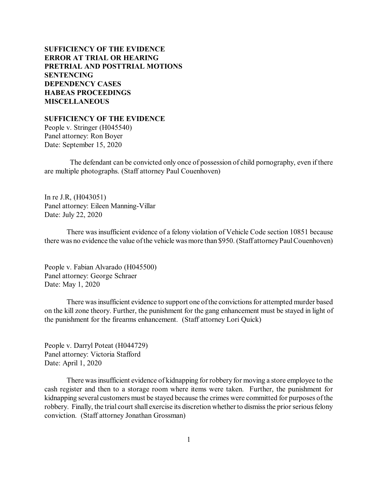# **SUFFICIENCY OF THE EVIDENCE ERROR AT TRIAL [OR HEARING](#page-1-0) PRETRIAL [AND POSTTRIAL](#page-2-0) MOTIONS SENTENCING [DEPENDENCY CASES](#page-18-0) [HABEAS PROCEEDINGS](#page-20-0)  MISCELLANEOUS**

**SUFFICIENCY OF THE EVIDENCE**

People v. Stringer (H045540) Panel attorney: Ron Boyer Date: September 15, 2020

The defendant can be convicted only once of possession of child pornography, even if there are multiple photographs. (Staff attorney Paul Couenhoven)

In re J.R, (H043051) Panel attorney: Eileen Manning-Villar Date: July 22, 2020

There wasinsufficient evidence of a felony violation of Vehicle Code section 10851 because there was no evidence the value ofthe vehicle wasmore than \$950. (Staff attorneyPaulCouenhoven)

People v. Fabian Alvarado (H045500) Panel attorney: George Schraer Date: May 1, 2020

There was insufficient evidence to support one of the convictions for attempted murder based on the kill zone theory. Further, the punishment for the gang enhancement must be stayed in light of the punishment for the firearms enhancement. (Staff attorney Lori Quick)

People v. Darryl Poteat (H044729) Panel attorney: Victoria Stafford Date: April 1, 2020

There was insufficient evidence of kidnapping for robbery for moving a store employee to the cash register and then to a storage room where items were taken. Further, the punishment for kidnapping several customers must be stayed because the crimes were committed for purposes ofthe robbery. Finally, the trial court shall exercise its discretion whether to dismiss the prior serious felony conviction. (Staff attorney Jonathan Grossman)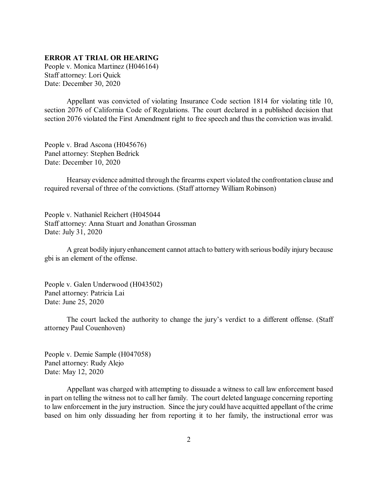## <span id="page-1-0"></span>**ERROR AT TRIAL OR HEARING**

People v. Monica Martinez (H046164) Staff attorney: Lori Quick Date: December 30, 2020

Appellant was convicted of violating Insurance Code section 1814 for violating title 10, section 2076 of California Code of Regulations. The court declared in a published decision that section 2076 violated the First Amendment right to free speech and thus the conviction was invalid.

People v. Brad Ascona (H045676) Panel attorney: Stephen Bedrick Date: December 10, 2020

Hearsay evidence admitted through the firearms expert violated the confrontation clause and required reversal of three of the convictions. (Staff attorney William Robinson)

People v. Nathaniel Reichert (H045044 Staff attorney: Anna Stuart and Jonathan Grossman Date: July 31, 2020

A great bodily injury enhancement cannot attach to batterywith serious bodily injury because gbi is an element of the offense.

People v. Galen Underwood (H043502) Panel attorney: Patricia Lai Date: June 25, 2020

The court lacked the authority to change the jury's verdict to a different offense. (Staff attorney Paul Couenhoven)

People v. Demie Sample (H047058) Panel attorney: Rudy Alejo Date: May 12, 2020

Appellant was charged with attempting to dissuade a witness to call law enforcement based in part on telling the witness not to call her family. The court deleted language concerning reporting to law enforcement in the jury instruction. Since the jury could have acquitted appellant of the crime based on him only dissuading her from reporting it to her family, the instructional error was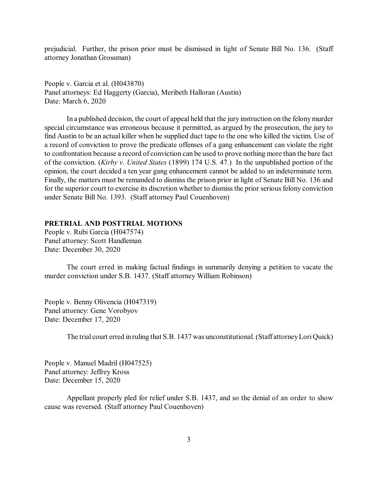<span id="page-2-0"></span>prejudicial. Further, the prison prior must be dismissed in light of Senate Bill No. 136. (Staff attorney Jonathan Grossman)

People v. Garcia et al. (H043870) Panel attorneys: Ed Haggerty (Garcia), Meribeth Halloran (Austin) Date: March 6, 2020

In a published decision, the court of appeal held that the jury instruction on the felonymurder special circumstance was erroneous because it permitted, as argued by the prosecution, the jury to find Austin to be an actual killer when he supplied duct tape to the one who killed the victim. Use of a record of conviction to prove the predicate offenses of a gang enhancement can violate the right to confrontation because a record of conviction can be used to prove nothing more than the bare fact of the conviction. (*Kirby v. United States* (1899) 174 U.S. 47.) In the unpublished portion of the opinion, the court decided a ten year gang enhancement cannot be added to an indeterminate term. Finally, the matters must be remanded to dismiss the prison prior in light of Senate Bill No. 136 and for the superior court to exercise its discretion whether to dismiss the prior serious felony conviction under Senate Bill No. 1393. (Staff attorney Paul Couenhoven)

### **PRETRIAL AND POSTTRIAL MOTIONS**

People v. Rubi Garcia (H047574) Panel attorney: Scott Handleman Date: December 30, 2020

The court erred in making factual findings in summarily denying a petition to vacate the murder conviction under S.B. 1437. (Staff attorney William Robinson)

People v. Benny Olivencia (H047319) Panel attorney: Gene Vorobyov Date: December 17, 2020

The trial court erred in ruling that S.B. 1437 was unconstitutional.(Staff attorneyLoriQuick)

People v. Manuel Madril (H047525) Panel attorney: Jeffrey Kross Date: December 15, 2020

Appellant properly pled for relief under S.B. 1437, and so the denial of an order to show cause was reversed. (Staff attorney Paul Couenhoven)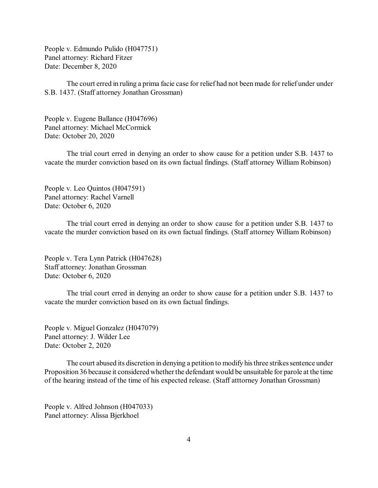People v. Edmundo Pulido (H047751) Panel attorney: Richard Fitzer Date: December 8, 2020

The court erred in ruling a prima facie case for relief had not been made for relief under under S.B. 1437. (Staff attorney Jonathan Grossman)

People v. Eugene Ballance (H047696) Panel attorney: Michael McCormick Date: October 20, 2020

The trial court erred in denying an order to show cause for a petition under S.B. 1437 to vacate the murder conviction based on its own factual findings. (Staff attorney William Robinson)

People v. Leo Quintos (H047591) Panel attorney: Rachel Varnell Date: October 6, 2020

The trial court erred in denying an order to show cause for a petition under S.B. 1437 to vacate the murder conviction based on its own factual findings. (Staff attorney William Robinson)

People v. Tera Lynn Patrick (H047628) Staff attorney: Jonathan Grossman Date: October 6, 2020

The trial court erred in denying an order to show cause for a petition under S.B. 1437 to vacate the murder conviction based on its own factual findings.

People v. Miguel Gonzalez (H047079) Panel attorney: J. Wilder Lee Date: October 2, 2020

The court abused its discretion in denying a petition to modify his three strikes sentence under Proposition 36 because it considered whether the defendant would be unsuitable for parole at the time of the hearing instead of the time of his expected release. (Staff atttorney Jonathan Grossman)

People v. Alfred Johnson (H047033) Panel attorney: Alissa Bjerkhoel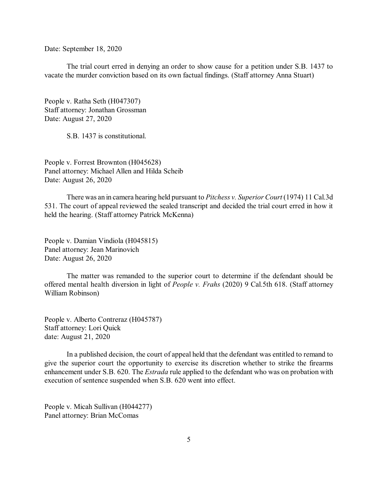Date: September 18, 2020

The trial court erred in denying an order to show cause for a petition under S.B. 1437 to vacate the murder conviction based on its own factual findings. (Staff attorney Anna Stuart)

People v. Ratha Seth (H047307) Staff attorney: Jonathan Grossman Date: August 27, 2020

S.B. 1437 is constitutional.

People v. Forrest Brownton (H045628) Panel attorney: Michael Allen and Hilda Scheib Date: August 26, 2020

There was an in camera hearing held pursuant to *Pitchess v. Superior Court* (1974) 11 Cal.3d 531. The court of appeal reviewed the sealed transcript and decided the trial court erred in how it held the hearing. (Staff attorney Patrick McKenna)

People v. Damian Vindiola (H045815) Panel attorney: Jean Marinovich Date: August 26, 2020

The matter was remanded to the superior court to determine if the defendant should be offered mental health diversion in light of *People v. Frahs* (2020) 9 Cal.5th 618. (Staff attorney William Robinson)

People v. Alberto Contreraz (H045787) Staff attorney: Lori Quick date: August 21, 2020

In a published decision, the court of appeal held that the defendant was entitled to remand to give the superior court the opportunity to exercise its discretion whether to strike the firearms enhancement under S.B. 620. The *Estrada* rule applied to the defendant who was on probation with execution of sentence suspended when S.B. 620 went into effect.

People v. Micah Sullivan (H044277) Panel attorney: Brian McComas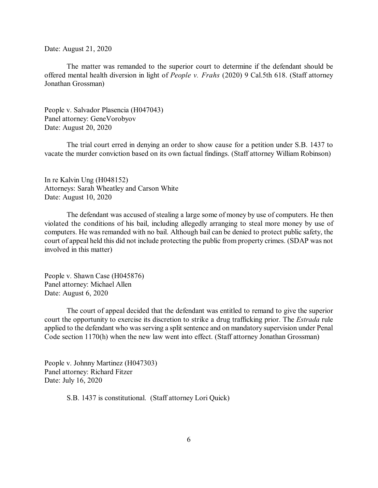Date: August 21, 2020

The matter was remanded to the superior court to determine if the defendant should be offered mental health diversion in light of *People v. Frahs* (2020) 9 Cal.5th 618. (Staff attorney Jonathan Grossman)

People v. Salvador Plasencia (H047043) Panel attorney: GeneVorobyov Date: August 20, 2020

The trial court erred in denying an order to show cause for a petition under S.B. 1437 to vacate the murder conviction based on its own factual findings. (Staff attorney William Robinson)

In re Kalvin Ung (H048152) Attorneys: Sarah Wheatley and Carson White Date: August 10, 2020

The defendant was accused of stealing a large some of money by use of computers. He then violated the conditions of his bail, including allegedly arranging to steal more money by use of computers. He was remanded with no bail. Although bail can be denied to protect public safety, the court of appeal held this did not include protecting the public from property crimes. (SDAP was not involved in this matter)

People v. Shawn Case (H045876) Panel attorney: Michael Allen Date: August 6, 2020

The court of appeal decided that the defendant was entitled to remand to give the superior court the opportunity to exercise its discretion to strike a drug trafficking prior. The *Estrada* rule applied to the defendant who wasserving a split sentence and on mandatory supervision under Penal Code section 1170(h) when the new law went into effect. (Staff attorney Jonathan Grossman)

People v. Johnny Martinez (H047303) Panel attorney: Richard Fitzer Date: July 16, 2020

S.B. 1437 is constitutional. (Staff attorney Lori Quick)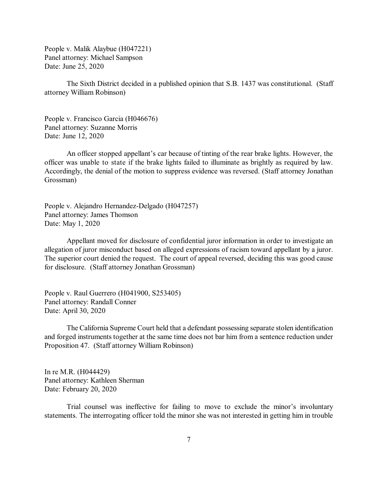People v. Malik Alaybue (H047221) Panel attorney: Michael Sampson Date: June 25, 2020

The Sixth District decided in a published opinion that S.B. 1437 was constitutional. (Staff attorney William Robinson)

People v. Francisco Garcia (H046676) Panel attorney: Suzanne Morris Date: June 12, 2020

An officer stopped appellant's car because of tinting of the rear brake lights. However, the officer was unable to state if the brake lights failed to illuminate as brightly as required by law. Accordingly, the denial of the motion to suppress evidence was reversed. (Staff attorney Jonathan Grossman)

People v. Alejandro Hernandez-Delgado (H047257) Panel attorney: James Thomson Date: May 1, 2020

Appellant moved for disclosure of confidential juror information in order to investigate an allegation of juror misconduct based on alleged expressions of racism toward appellant by a juror. The superior court denied the request. The court of appeal reversed, deciding this was good cause for disclosure. (Staff attorney Jonathan Grossman)

People v. Raul Guerrero (H041900, S253405) Panel attorney: Randall Conner Date: April 30, 2020

The California Supreme Court held that a defendant possessing separate stolen identification and forged instruments together at the same time does not bar him from a sentence reduction under Proposition 47. (Staff attorney William Robinson)

In re M.R. (H044429) Panel attorney: Kathleen Sherman Date: February 20, 2020

Trial counsel was ineffective for failing to move to exclude the minor's involuntary statements. The interrogating officer told the minor she was not interested in getting him in trouble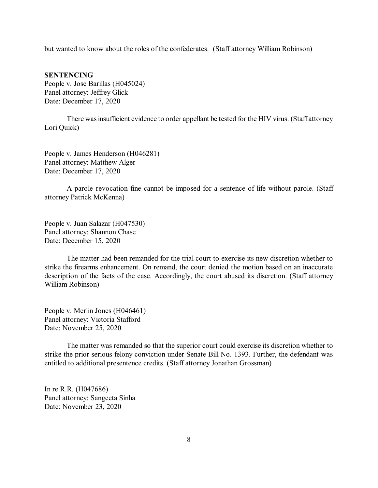but wanted to know about the roles of the confederates. (Staff attorney William Robinson)

#### **SENTENCING**

People v. Jose Barillas (H045024) Panel attorney: Jeffrey Glick Date: December 17, 2020

There was insufficient evidence to order appellant be tested for the HIV virus. (Staff attorney Lori Quick)

People v. James Henderson (H046281) Panel attorney: Matthew Alger Date: December 17, 2020

A parole revocation fine cannot be imposed for a sentence of life without parole. (Staff attorney Patrick McKenna)

People v. Juan Salazar (H047530) Panel attorney: Shannon Chase Date: December 15, 2020

The matter had been remanded for the trial court to exercise its new discretion whether to strike the firearms enhancement. On remand, the court denied the motion based on an inaccurate description of the facts of the case. Accordingly, the court abused its discretion. (Staff attorney William Robinson)

People v. Merlin Jones (H046461) Panel attorney: Victoria Stafford Date: November 25, 2020

The matter was remanded so that the superior court could exercise its discretion whether to strike the prior serious felony conviction under Senate Bill No. 1393. Further, the defendant was entitled to additional presentence credits. (Staff attorney Jonathan Grossman)

In re R.R. (H047686) Panel attorney: Sangeeta Sinha Date: November 23, 2020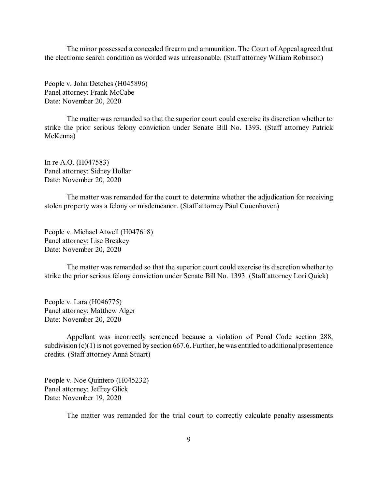The minor possessed a concealed firearm and ammunition. The Court of Appeal agreed that the electronic search condition as worded was unreasonable. (Staff attorney William Robinson)

People v. John Detches (H045896) Panel attorney: Frank McCabe Date: November 20, 2020

The matter was remanded so that the superior court could exercise its discretion whether to strike the prior serious felony conviction under Senate Bill No. 1393. (Staff attorney Patrick McKenna)

In re A.O. (H047583) Panel attorney: Sidney Hollar Date: November 20, 2020

The matter was remanded for the court to determine whether the adjudication for receiving stolen property was a felony or misdemeanor. (Staff attorney Paul Couenhoven)

People v. Michael Atwell (H047618) Panel attorney: Lise Breakey Date: November 20, 2020

The matter was remanded so that the superior court could exercise its discretion whether to strike the prior serious felony conviction under Senate Bill No. 1393. (Staff attorney Lori Quick)

People v. Lara (H046775) Panel attorney: Matthew Alger Date: November 20, 2020

Appellant was incorrectly sentenced because a violation of Penal Code section 288, subdivision  $(c)(1)$  is not governed by section 667.6. Further, he was entitled to additional presentence credits. (Staff attorney Anna Stuart)

People v. Noe Quintero (H045232) Panel attorney: Jeffrey Glick Date: November 19, 2020

The matter was remanded for the trial court to correctly calculate penalty assessments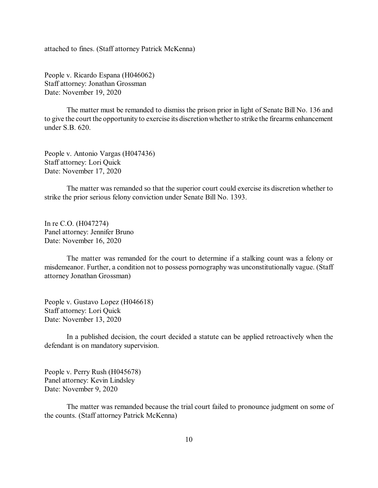attached to fines. (Staff attorney Patrick McKenna)

People v. Ricardo Espana (H046062) Staff attorney: Jonathan Grossman Date: November 19, 2020

The matter must be remanded to dismiss the prison prior in light of Senate Bill No. 136 and to give the court the opportunity to exercise its discretionwhether to strike the firearms enhancement under S.B. 620.

People v. Antonio Vargas (H047436) Staff attorney: Lori Quick Date: November 17, 2020

The matter was remanded so that the superior court could exercise its discretion whether to strike the prior serious felony conviction under Senate Bill No. 1393.

In re C.O. (H047274) Panel attorney: Jennifer Bruno Date: November 16, 2020

The matter was remanded for the court to determine if a stalking count was a felony or misdemeanor. Further, a condition not to possess pornography was unconstitutionally vague. (Staff attorney Jonathan Grossman)

People v. Gustavo Lopez (H046618) Staff attorney: Lori Quick Date: November 13, 2020

In a published decision, the court decided a statute can be applied retroactively when the defendant is on mandatory supervision.

People v. Perry Rush (H045678) Panel attorney: Kevin Lindsley Date: November 9, 2020

The matter was remanded because the trial court failed to pronounce judgment on some of the counts. (Staff attorney Patrick McKenna)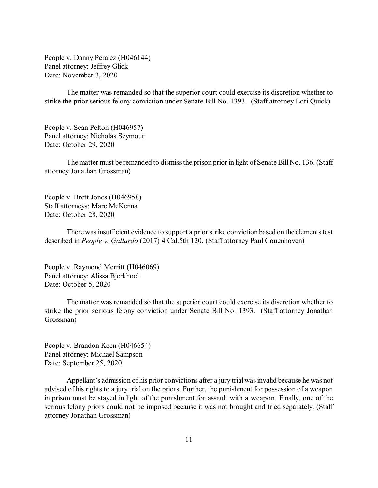People v. Danny Peralez (H046144) Panel attorney: Jeffrey Glick Date: November 3, 2020

The matter was remanded so that the superior court could exercise its discretion whether to strike the prior serious felony conviction under Senate Bill No. 1393. (Staff attorney Lori Quick)

People v. Sean Pelton (H046957) Panel attorney: Nicholas Seymour Date: October 29, 2020

The matter must be remanded to dismiss the prison prior in light of Senate Bill No. 136. (Staff attorney Jonathan Grossman)

People v. Brett Jones (H046958) Staff attorneys: Marc McKenna Date: October 28, 2020

There was insufficient evidence to support a prior strike conviction based on the elements test described in *People v. Gallardo* (2017) 4 Cal.5th 120. (Staff attorney Paul Couenhoven)

People v. Raymond Merritt (H046069) Panel attorney: Alissa Bjerkhoel Date: October 5, 2020

The matter was remanded so that the superior court could exercise its discretion whether to strike the prior serious felony conviction under Senate Bill No. 1393. (Staff attorney Jonathan Grossman)

People v. Brandon Keen (H046654) Panel attorney: Michael Sampson Date: September 25, 2020

Appellant's admission of his prior convictions after a jury trial was invalid because he was not advised of his rights to a jury trial on the priors. Further, the punishment for possession of a weapon in prison must be stayed in light of the punishment for assault with a weapon. Finally, one of the serious felony priors could not be imposed because it was not brought and tried separately. (Staff attorney Jonathan Grossman)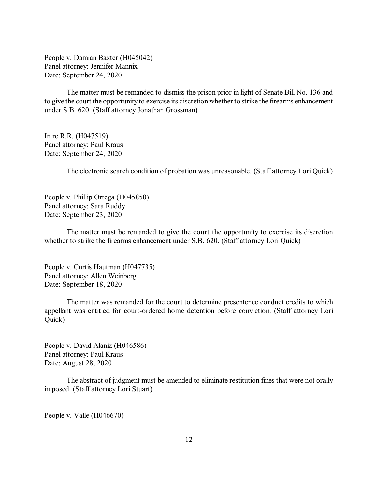People v. Damian Baxter (H045042) Panel attorney: Jennifer Mannix Date: September 24, 2020

The matter must be remanded to dismiss the prison prior in light of Senate Bill No. 136 and to give the court the opportunity to exercise its discretion whether to strike the firearms enhancement under S.B. 620. (Staff attorney Jonathan Grossman)

In re R.R. (H047519) Panel attorney: Paul Kraus Date: September 24, 2020

The electronic search condition of probation was unreasonable. (Staff attorney Lori Quick)

People v. Phillip Ortega (H045850) Panel attorney: Sara Ruddy Date: September 23, 2020

The matter must be remanded to give the court the opportunity to exercise its discretion whether to strike the firearms enhancement under S.B. 620. (Staff attorney Lori Quick)

People v. Curtis Hautman (H047735) Panel attorney: Allen Weinberg Date: September 18, 2020

The matter was remanded for the court to determine presentence conduct credits to which appellant was entitled for court-ordered home detention before conviction. (Staff attorney Lori Quick)

People v. David Alaniz (H046586) Panel attorney: Paul Kraus Date: August 28, 2020

The abstract of judgment must be amended to eliminate restitution fines that were not orally imposed. (Staff attorney Lori Stuart)

People v. Valle (H046670)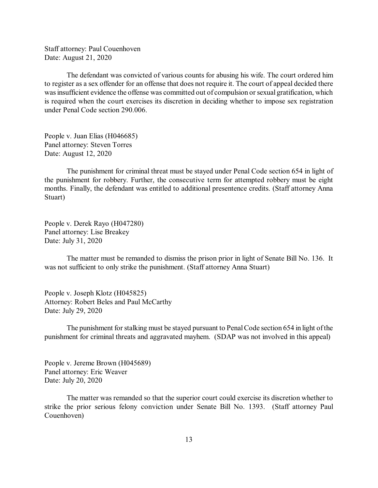Staff attorney: Paul Couenhoven Date: August 21, 2020

The defendant was convicted of various counts for abusing his wife. The court ordered him to register as a sex offender for an offense that does not require it. The court of appeal decided there was insufficient evidence the offense was committed out of compulsion or sexual gratification, which is required when the court exercises its discretion in deciding whether to impose sex registration under Penal Code section 290.006.

People v. Juan Elias (H046685) Panel attorney: Steven Torres Date: August 12, 2020

The punishment for criminal threat must be stayed under Penal Code section 654 in light of the punishment for robbery. Further, the consecutive term for attempted robbery must be eight months. Finally, the defendant was entitled to additional presentence credits. (Staff attorney Anna Stuart)

People v. Derek Rayo (H047280) Panel attorney: Lise Breakey Date: July 31, 2020

The matter must be remanded to dismiss the prison prior in light of Senate Bill No. 136. It was not sufficient to only strike the punishment. (Staff attorney Anna Stuart)

People v. Joseph Klotz (H045825) Attorney: Robert Beles and Paul McCarthy Date: July 29, 2020

The punishment for stalking must be stayed pursuant to Penal Code section 654 in light of the punishment for criminal threats and aggravated mayhem. (SDAP was not involved in this appeal)

People v. Jereme Brown (H045689) Panel attorney: Eric Weaver Date: July 20, 2020

The matter was remanded so that the superior court could exercise its discretion whether to strike the prior serious felony conviction under Senate Bill No. 1393. (Staff attorney Paul Couenhoven)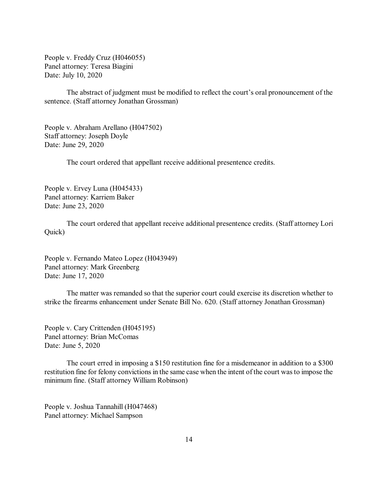People v. Freddy Cruz (H046055) Panel attorney: Teresa Biagini Date: July 10, 2020

The abstract of judgment must be modified to reflect the court's oral pronouncement of the sentence. (Staff attorney Jonathan Grossman)

People v. Abraham Arellano (H047502) Staff attorney: Joseph Doyle Date: June 29, 2020

The court ordered that appellant receive additional presentence credits.

People v. Ervey Luna (H045433) Panel attorney: Karriem Baker Date: June 23, 2020

The court ordered that appellant receive additional presentence credits. (Staff attorney Lori Quick)

People v. Fernando Mateo Lopez (H043949) Panel attorney: Mark Greenberg Date: June 17, 2020

The matter was remanded so that the superior court could exercise its discretion whether to strike the firearms enhancement under Senate Bill No. 620. (Staff attorney Jonathan Grossman)

People v. Cary Crittenden (H045195) Panel attorney: Brian McComas Date: June 5, 2020

The court erred in imposing a \$150 restitution fine for a misdemeanor in addition to a \$300 restitution fine for felony convictions in the same case when the intent of the court was to impose the minimum fine. (Staff attorney William Robinson)

People v. Joshua Tannahill (H047468) Panel attorney: Michael Sampson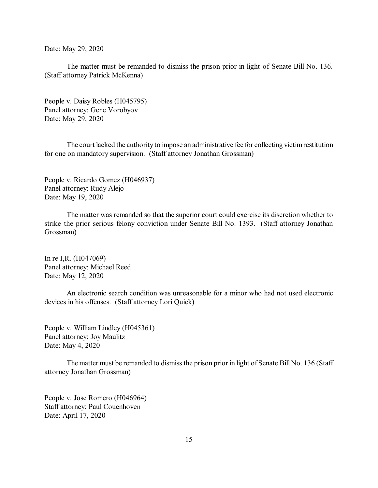Date: May 29, 2020

The matter must be remanded to dismiss the prison prior in light of Senate Bill No. 136. (Staff attorney Patrick McKenna)

People v. Daisy Robles (H045795) Panel attorney: Gene Vorobyov Date: May 29, 2020

The court lacked the authority to impose an administrative fee for collecting victimrestitution for one on mandatory supervision. (Staff attorney Jonathan Grossman)

People v. Ricardo Gomez (H046937) Panel attorney: Rudy Alejo Date: May 19, 2020

The matter was remanded so that the superior court could exercise its discretion whether to strike the prior serious felony conviction under Senate Bill No. 1393. (Staff attorney Jonathan Grossman)

In re I,R. (H047069) Panel attorney: Michael Reed Date: May 12, 2020

An electronic search condition was unreasonable for a minor who had not used electronic devices in his offenses. (Staff attorney Lori Quick)

People v. William Lindley (H045361) Panel attorney: Joy Maulitz Date: May 4, 2020

The matter must be remanded to dismiss the prison prior in light of Senate Bill No. 136 (Staff attorney Jonathan Grossman)

People v. Jose Romero (H046964) Staff attorney: Paul Couenhoven Date: April 17, 2020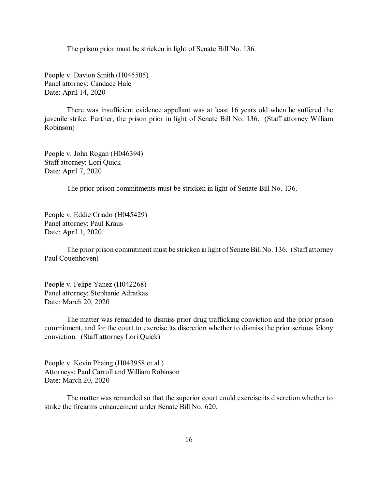The prison prior must be stricken in light of Senate Bill No. 136.

People v. Davion Smith (H045505) Panel attorney: Candace Hale Date: April 14, 2020

There was insufficient evidence appellant was at least 16 years old when he suffered the juvenile strike. Further, the prison prior in light of Senate Bill No. 136. (Staff attorney William Robinson)

People v. John Rogan (H046394) Staff attorney: Lori Quick Date: April 7, 2020

The prior prison commitments must be stricken in light of Senate Bill No. 136.

People v. Eddie Criado (H045429) Panel attorney: Paul Kraus Date: April 1, 2020

The prior prison commitment must be stricken in light of Senate Bill No. 136. (Staff attorney Paul Couenhoven)

People v. Felipe Yanez (H042268) Panel attorney: Stephanie Adratkas Date: March 20, 2020

The matter was remanded to dismiss prior drug trafficking conviction and the prior prison commitment, and for the court to exercise its discretion whether to dismiss the prior serious felony conviction. (Staff attorney Lori Quick)

People v. Kevin Phaing (H043958 et al.) Attorneys: Paul Carroll and William Robinson Date: March 20, 2020

The matter was remanded so that the superior court could exercise its discretion whether to strike the firearms enhancement under Senate Bill No. 620.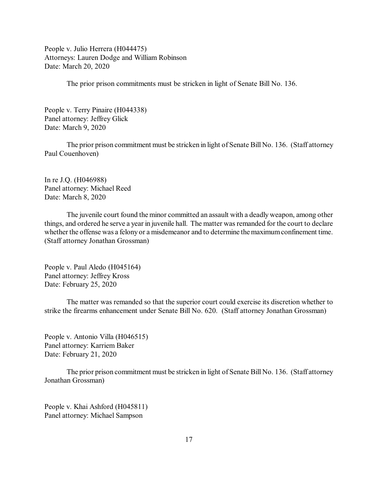People v. Julio Herrera (H044475) Attorneys: Lauren Dodge and William Robinson Date: March 20, 2020

The prior prison commitments must be stricken in light of Senate Bill No. 136.

People v. Terry Pinaire (H044338) Panel attorney: Jeffrey Glick Date: March 9, 2020

The prior prison commitment must be stricken in light of Senate Bill No. 136. (Staff attorney Paul Couenhoven)

In re J.Q. (H046988) Panel attorney: Michael Reed Date: March 8, 2020

The juvenile court found the minor committed an assault with a deadly weapon, among other things, and ordered he serve a year in juvenile hall. The matter was remanded for the court to declare whether the offense was a felony or a misdemeanor and to determine the maximum confinement time. (Staff attorney Jonathan Grossman)

People v. Paul Aledo (H045164) Panel attorney: Jeffrey Kross Date: February 25, 2020

The matter was remanded so that the superior court could exercise its discretion whether to strike the firearms enhancement under Senate Bill No. 620. (Staff attorney Jonathan Grossman)

People v. Antonio Villa (H046515) Panel attorney: Karriem Baker Date: February 21, 2020

The prior prison commitment must be stricken in light of Senate Bill No. 136. (Staff attorney Jonathan Grossman)

People v. Khai Ashford (H045811) Panel attorney: Michael Sampson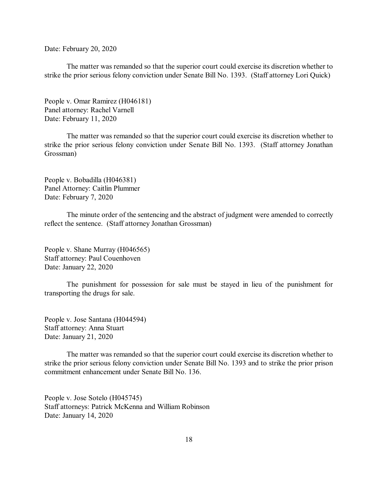Date: February 20, 2020

The matter was remanded so that the superior court could exercise its discretion whether to strike the prior serious felony conviction under Senate Bill No. 1393. (Staff attorney Lori Quick)

People v. Omar Ramirez (H046181) Panel attorney: Rachel Varnell Date: February 11, 2020

The matter was remanded so that the superior court could exercise its discretion whether to strike the prior serious felony conviction under Senate Bill No. 1393. (Staff attorney Jonathan Grossman)

People v. Bobadilla (H046381) Panel Attorney: Caitlin Plummer Date: February 7, 2020

The minute order of the sentencing and the abstract of judgment were amended to correctly reflect the sentence. (Staff attorney Jonathan Grossman)

People v. Shane Murray (H046565) Staff attorney: Paul Couenhoven Date: January 22, 2020

The punishment for possession for sale must be stayed in lieu of the punishment for transporting the drugs for sale.

People v. Jose Santana (H044594) Staff attorney: Anna Stuart Date: January 21, 2020

The matter was remanded so that the superior court could exercise its discretion whether to strike the prior serious felony conviction under Senate Bill No. 1393 and to strike the prior prison commitment enhancement under Senate Bill No. 136.

People v. Jose Sotelo (H045745) Staff attorneys: Patrick McKenna and William Robinson Date: January 14, 2020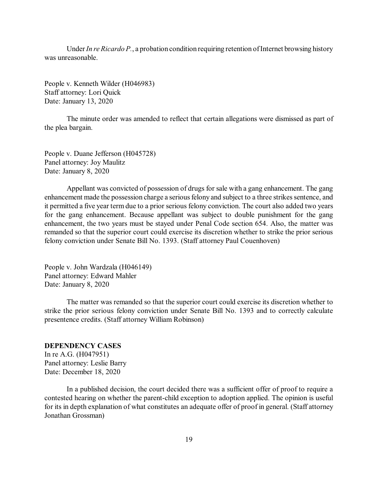<span id="page-18-0"></span>Under*In re Ricardo P.*, a probation condition requiring retention ofInternet browsing history was unreasonable.

People v. Kenneth Wilder (H046983) Staff attorney: Lori Quick Date: January 13, 2020

The minute order was amended to reflect that certain allegations were dismissed as part of the plea bargain.

People v. Duane Jefferson (H045728) Panel attorney: Joy Maulitz Date: January 8, 2020

Appellant was convicted of possession of drugs for sale with a gang enhancement. The gang enhancement made the possession charge a serious felony and subject to a three strikes sentence, and it permitted a five year term due to a prior serious felony conviction. The court also added two years for the gang enhancement. Because appellant was subject to double punishment for the gang enhancement, the two years must be stayed under Penal Code section 654. Also, the matter was remanded so that the superior court could exercise its discretion whether to strike the prior serious felony conviction under Senate Bill No. 1393. (Staff attorney Paul Couenhoven)

People v. John Wardzala (H046149) Panel attorney: Edward Mahler Date: January 8, 2020

The matter was remanded so that the superior court could exercise its discretion whether to strike the prior serious felony conviction under Senate Bill No. 1393 and to correctly calculate presentence credits. (Staff attorney William Robinson)

## **DEPENDENCY CASES**

In re A.G. (H047951) Panel attorney: Leslie Barry Date: December 18, 2020

In a published decision, the court decided there was a sufficient offer of proof to require a contested hearing on whether the parent-child exception to adoption applied. The opinion is useful for its in depth explanation of what constitutes an adequate offer of proof in general. (Staff attorney Jonathan Grossman)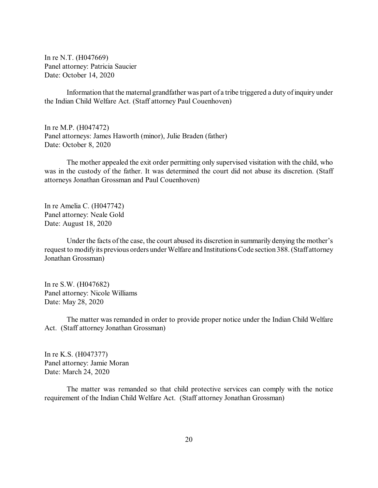In re N.T. (H047669) Panel attorney: Patricia Saucier Date: October 14, 2020

Information that the maternal grandfather was part of a tribe triggered a duty of inquiry under the Indian Child Welfare Act. (Staff attorney Paul Couenhoven)

In re M.P. (H047472) Panel attorneys: James Haworth (minor), Julie Braden (father) Date: October 8, 2020

The mother appealed the exit order permitting only supervised visitation with the child, who was in the custody of the father. It was determined the court did not abuse its discretion. (Staff attorneys Jonathan Grossman and Paul Couenhoven)

In re Amelia C. (H047742) Panel attorney: Neale Gold Date: August 18, 2020

Under the facts of the case, the court abused its discretion in summarily denying the mother's request to modifyits previous orders under Welfare and InstitutionsCode section 388.(Staff attorney Jonathan Grossman)

In re S.W. (H047682) Panel attorney: Nicole Williams Date: May 28, 2020

The matter was remanded in order to provide proper notice under the Indian Child Welfare Act. (Staff attorney Jonathan Grossman)

In re K.S. (H047377) Panel attorney: Jamie Moran Date: March 24, 2020

The matter was remanded so that child protective services can comply with the notice requirement of the Indian Child Welfare Act. (Staff attorney Jonathan Grossman)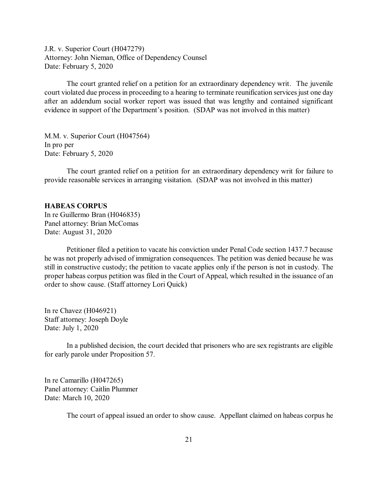<span id="page-20-0"></span>J.R. v. Superior Court (H047279) Attorney: John Nieman, Office of Dependency Counsel Date: February 5, 2020

The court granted relief on a petition for an extraordinary dependency writ. The juvenile court violated due process in proceeding to a hearing to terminate reunification services just one day after an addendum social worker report was issued that was lengthy and contained significant evidence in support of the Department's position. (SDAP was not involved in this matter)

M.M. v. Superior Court (H047564) In pro per Date: February 5, 2020

The court granted relief on a petition for an extraordinary dependency writ for failure to provide reasonable services in arranging visitation. (SDAP was not involved in this matter)

#### **HABEAS CORPUS**

In re Guillermo Bran (H046835) Panel attorney: Brian McComas Date: August 31, 2020

Petitioner filed a petition to vacate his conviction under Penal Code section 1437.7 because he was not properly advised of immigration consequences. The petition was denied because he was still in constructive custody; the petition to vacate applies only if the person is not in custody. The proper habeas corpus petition was filed in the Court of Appeal, which resulted in the issuance of an order to show cause. (Staff attorney Lori Quick)

In re Chavez (H046921) Staff attorney: Joseph Doyle Date: July 1, 2020

In a published decision, the court decided that prisoners who are sex registrants are eligible for early parole under Proposition 57.

In re Camarillo (H047265) Panel attorney: Caitlin Plummer Date: March 10, 2020

The court of appeal issued an order to show cause. Appellant claimed on habeas corpus he